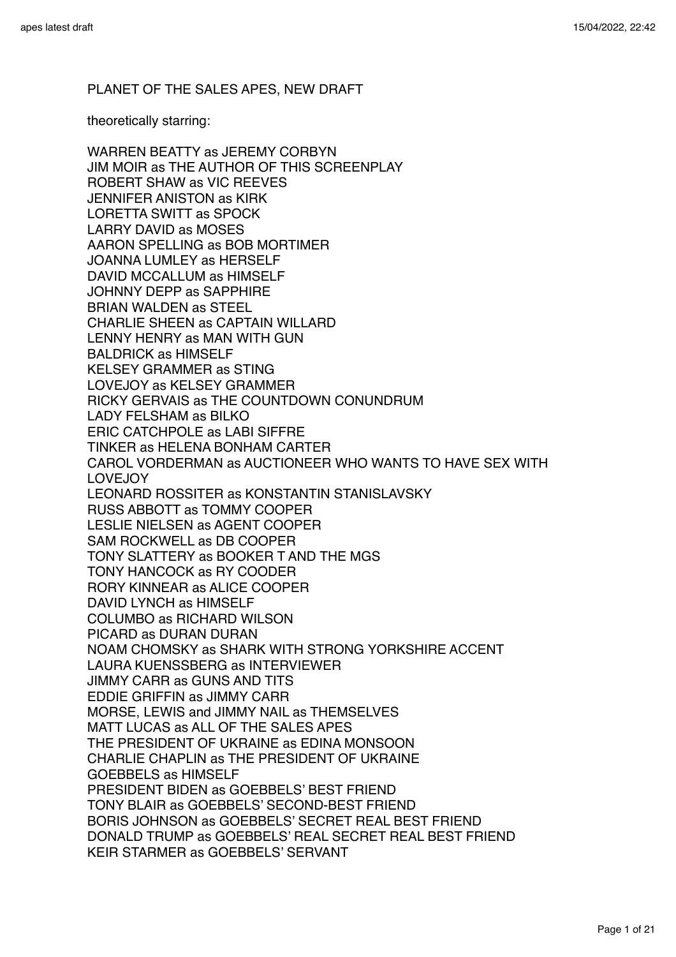# PLANET OF THE SALES APES, NEW DRAFT

theoretically starring:

WARREN BEATTY as JEREMY CORBYN JIM MOIR as THE AUTHOR OF THIS SCREENPLAY ROBERT SHAW as VIC REEVES JENNIFER ANISTON as KIRK LORETTA SWITT as SPOCK LARRY DAVID as MOSES AARON SPELLING as BOB MORTIMER JOANNA LUMLEY as HERSELF DAVID MCCALLUM as HIMSELF JOHNNY DEPP as SAPPHIRE BRIAN WALDEN as STEEL CHARLIE SHEEN as CAPTAIN WILLARD LENNY HENRY as MAN WITH GUN BALDRICK as HIMSELF KELSEY GRAMMER as STING LOVEJOY as KELSEY GRAMMER RICKY GERVAIS as THE COUNTDOWN CONUNDRUM LADY FELSHAM as BILKO ERIC CATCHPOLE as LABI SIFFRE TINKER as HELENA BONHAM CARTER CAROL VORDERMAN as AUCTIONEER WHO WANTS TO HAVE SEX WITH LOVEJOY LEONARD ROSSITER as KONSTANTIN STANISLAVSKY RUSS ABBOTT as TOMMY COOPER LESLIE NIELSEN as AGENT COOPER SAM ROCKWELL as DB COOPER TONY SLATTERY as BOOKER T AND THE MGS TONY HANCOCK as RY COODER RORY KINNEAR as ALICE COOPER DAVID LYNCH as HIMSELF COLUMBO as RICHARD WILSON PICARD as DURAN DURAN NOAM CHOMSKY as SHARK WITH STRONG YORKSHIRE ACCENT LAURA KUENSSBERG as INTERVIEWER JIMMY CARR as GUNS AND TITS EDDIE GRIFFIN as JIMMY CARR MORSE, LEWIS and JIMMY NAIL as THEMSELVES MATT LUCAS as ALL OF THE SALES APES THE PRESIDENT OF UKRAINE as EDINA MONSOON CHARLIE CHAPLIN as THE PRESIDENT OF UKRAINE GOEBBELS as HIMSELF PRESIDENT BIDEN as GOEBBELS' BEST FRIEND TONY BLAIR as GOEBBELS' SECOND-BEST FRIEND BORIS JOHNSON as GOEBBELS' SECRET REAL BEST FRIEND DONALD TRUMP as GOEBBELS' REAL SECRET REAL BEST FRIEND KEIR STARMER as GOEBBELS' SERVANT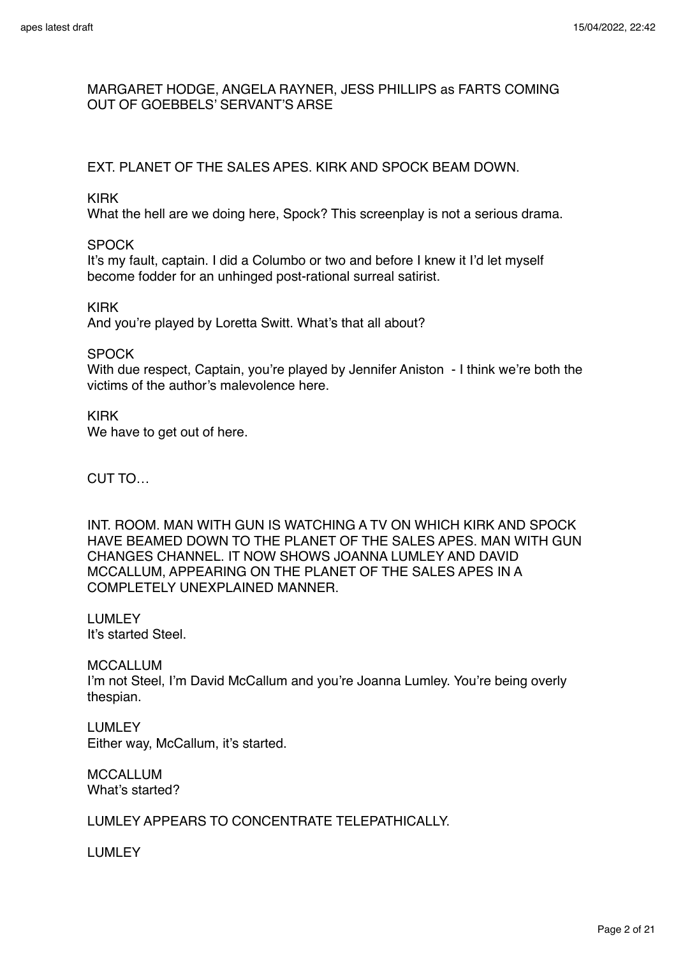# MARGARET HODGE, ANGELA RAYNER, JESS PHILLIPS as FARTS COMING OUT OF GOEBBELS' SERVANT'S ARSE

# EXT. PLANET OF THE SALES APES. KIRK AND SPOCK BEAM DOWN.

KIRK

What the hell are we doing here, Spock? This screenplay is not a serious drama.

**SPOCK** 

It's my fault, captain. I did a Columbo or two and before I knew it I'd let myself become fodder for an unhinged post-rational surreal satirist.

KIRK

And you're played by Loretta Switt. What's that all about?

**SPOCK** 

With due respect, Captain, you're played by Jennifer Aniston - I think we're both the victims of the author's malevolence here.

KIRK We have to get out of here.

CUT TO…

INT. ROOM. MAN WITH GUN IS WATCHING A TV ON WHICH KIRK AND SPOCK HAVE BEAMED DOWN TO THE PLANET OF THE SALES APES. MAN WITH GUN CHANGES CHANNEL. IT NOW SHOWS JOANNA LUMLEY AND DAVID MCCALLUM, APPEARING ON THE PLANET OF THE SALES APES IN A COMPLETELY UNEXPLAINED MANNER.

LUMLEY It's started Steel.

MCCALLUM I'm not Steel, I'm David McCallum and you're Joanna Lumley. You're being overly thespian.

LUMLEY Either way, McCallum, it's started.

MCCALLUM What's started?

LUMLEY APPEARS TO CONCENTRATE TELEPATHICALLY.

LUMLEY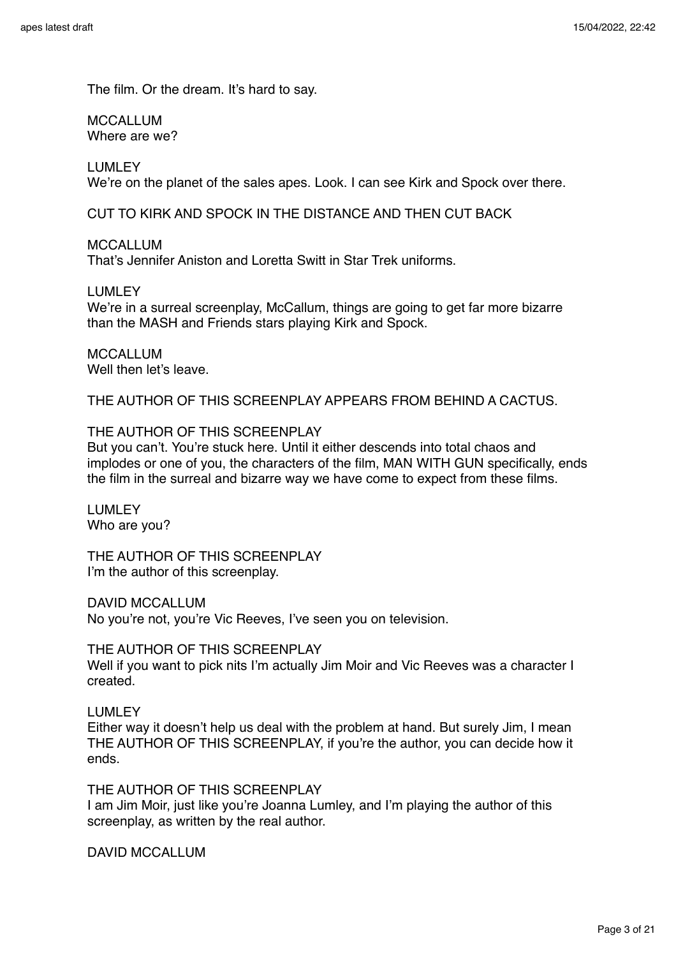The film. Or the dream. It's hard to say.

MCCALLUM Where are we?

LUMLEY

We're on the planet of the sales apes. Look. I can see Kirk and Spock over there.

CUT TO KIRK AND SPOCK IN THE DISTANCE AND THEN CUT BACK

MCCALLUM

That's Jennifer Aniston and Loretta Switt in Star Trek uniforms.

LUMLEY

We're in a surreal screenplay, McCallum, things are going to get far more bizarre than the MASH and Friends stars playing Kirk and Spock.

MCCALLUM Well then let's leave.

THE AUTHOR OF THIS SCREENPLAY APPEARS FROM BEHIND A CACTUS.

### THE AUTHOR OF THIS SCREENPLAY

But you can't. You're stuck here. Until it either descends into total chaos and implodes or one of you, the characters of the film, MAN WITH GUN specifically, ends the film in the surreal and bizarre way we have come to expect from these films.

LUMLEY Who are you?

THE AUTHOR OF THIS SCREENPLAY I'm the author of this screenplay.

DAVID MCCALLUM

No you're not, you're Vic Reeves, I've seen you on television.

THE AUTHOR OF THIS SCREENPLAY

Well if you want to pick nits I'm actually Jim Moir and Vic Reeves was a character I created.

LUMLEY

Either way it doesn't help us deal with the problem at hand. But surely Jim, I mean THE AUTHOR OF THIS SCREENPLAY, if you're the author, you can decide how it ends.

THE AUTHOR OF THIS SCREENPLAY

I am Jim Moir, just like you're Joanna Lumley, and I'm playing the author of this screenplay, as written by the real author.

DAVID MCCALLUM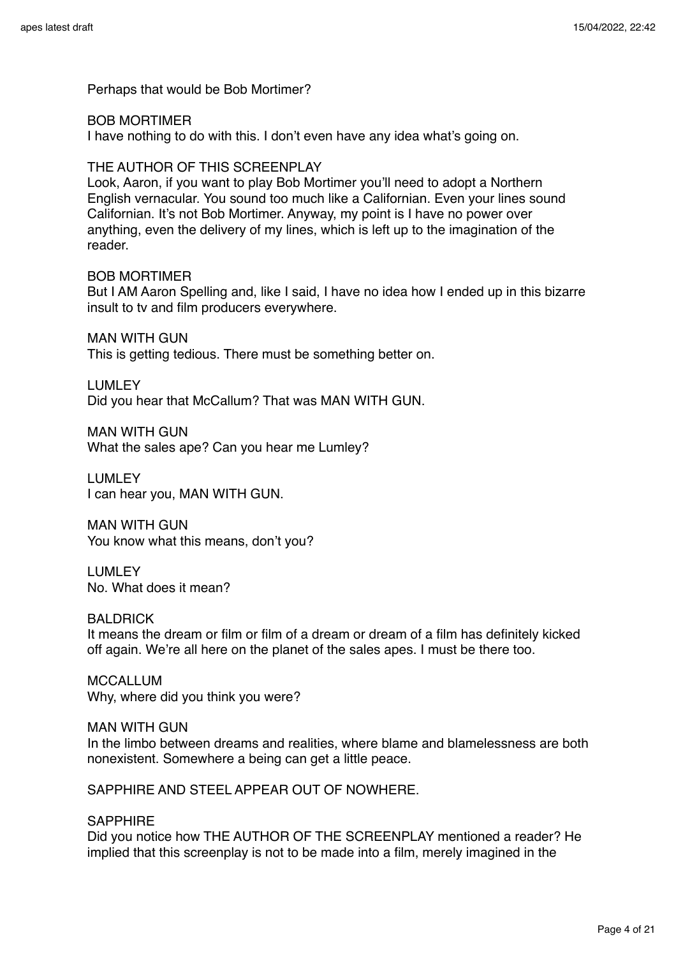Perhaps that would be Bob Mortimer?

#### BOB MORTIMER

I have nothing to do with this. I don't even have any idea what's going on.

### THE AUTHOR OF THIS SCREENPLAY

Look, Aaron, if you want to play Bob Mortimer you'll need to adopt a Northern English vernacular. You sound too much like a Californian. Even your lines sound Californian. It's not Bob Mortimer. Anyway, my point is I have no power over anything, even the delivery of my lines, which is left up to the imagination of the reader.

### BOB MORTIMER

But I AM Aaron Spelling and, like I said, I have no idea how I ended up in this bizarre insult to tv and film producers everywhere.

MAN WITH GUN

This is getting tedious. There must be something better on.

# LUMLEY

Did you hear that McCallum? That was MAN WITH GUN.

MAN WITH GUN What the sales ape? Can you hear me Lumley?

LUMLEY I can hear you, MAN WITH GUN.

MAN WITH GUN You know what this means, don't you?

#### LUMLEY No. What does it mean?

**BALDRICK** 

It means the dream or film or film of a dream or dream of a film has definitely kicked off again. We're all here on the planet of the sales apes. I must be there too.

MCCALLUM Why, where did you think you were?

#### MAN WITH GUN

In the limbo between dreams and realities, where blame and blamelessness are both nonexistent. Somewhere a being can get a little peace.

SAPPHIRE AND STEEL APPEAR OUT OF NOWHERE.

### SAPPHIRE

Did you notice how THE AUTHOR OF THE SCREENPLAY mentioned a reader? He implied that this screenplay is not to be made into a film, merely imagined in the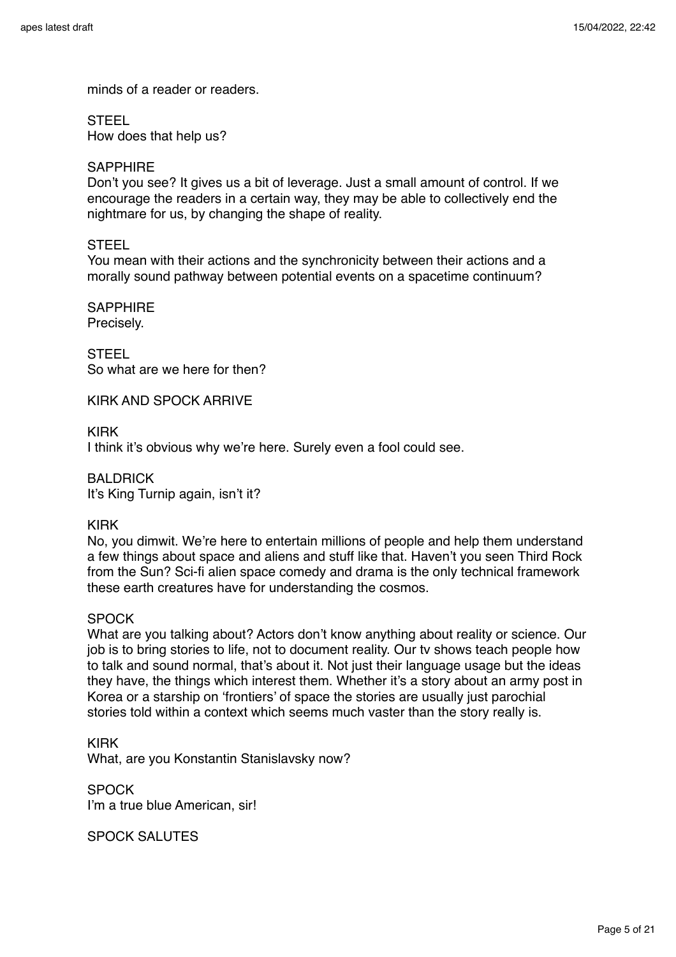minds of a reader or readers.

**STEEL** 

How does that help us?

# SAPPHIRE

Don't you see? It gives us a bit of leverage. Just a small amount of control. If we encourage the readers in a certain way, they may be able to collectively end the nightmare for us, by changing the shape of reality.

# **STEEL**

You mean with their actions and the synchronicity between their actions and a morally sound pathway between potential events on a spacetime continuum?

**SAPPHIRE** Precisely.

**STEEL** So what are we here for then?

KIRK AND SPOCK ARRIVE

KIRK

I think it's obvious why we're here. Surely even a fool could see.

BALDRICK It's King Turnip again, isn't it?

# KIRK

No, you dimwit. We're here to entertain millions of people and help them understand a few things about space and aliens and stuff like that. Haven't you seen Third Rock from the Sun? Sci-fi alien space comedy and drama is the only technical framework these earth creatures have for understanding the cosmos.

# **SPOCK**

What are you talking about? Actors don't know anything about reality or science. Our job is to bring stories to life, not to document reality. Our tv shows teach people how to talk and sound normal, that's about it. Not just their language usage but the ideas they have, the things which interest them. Whether it's a story about an army post in Korea or a starship on 'frontiers' of space the stories are usually just parochial stories told within a context which seems much vaster than the story really is.

KIRK What, are you Konstantin Stanislavsky now?

**SPOCK** I'm a true blue American, sir!

SPOCK SALUTES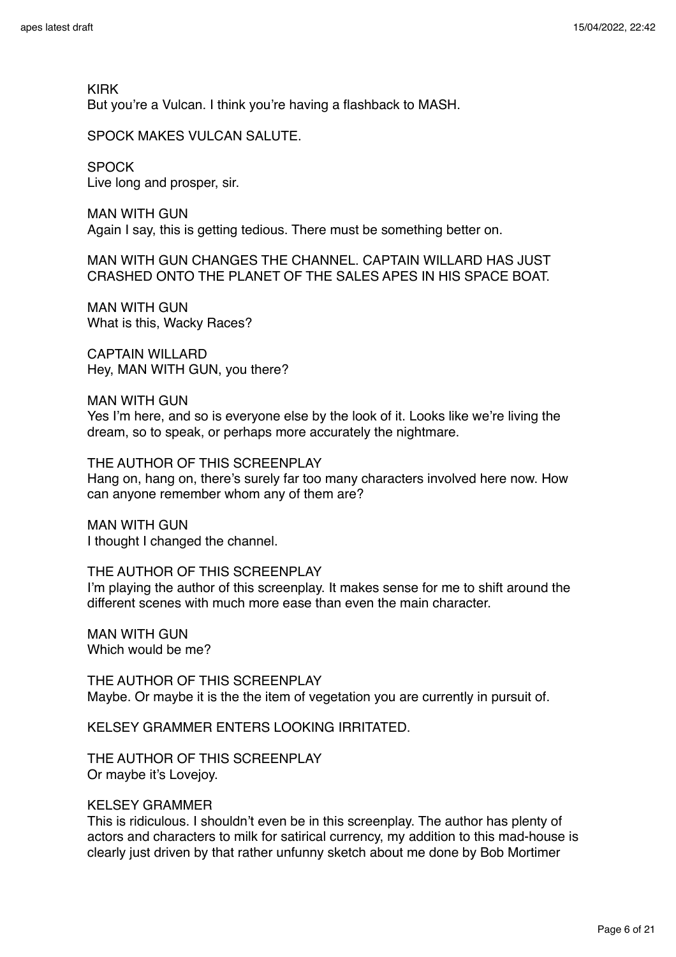KIRK But you're a Vulcan. I think you're having a flashback to MASH.

SPOCK MAKES VULCAN SALUTE.

**SPOCK** Live long and prosper, sir.

MAN WITH GUN Again I say, this is getting tedious. There must be something better on.

MAN WITH GUN CHANGES THE CHANNEL. CAPTAIN WILLARD HAS JUST CRASHED ONTO THE PLANET OF THE SALES APES IN HIS SPACE BOAT.

MAN WITH GUN What is this, Wacky Races?

CAPTAIN WILLARD Hey, MAN WITH GUN, you there?

MAN WITH GUN

Yes I'm here, and so is everyone else by the look of it. Looks like we're living the dream, so to speak, or perhaps more accurately the nightmare.

THE AUTHOR OF THIS SCREENPLAY Hang on, hang on, there's surely far too many characters involved here now. How can anyone remember whom any of them are?

MAN WITH GUN I thought I changed the channel.

THE AUTHOR OF THIS SCREENPLAY I'm playing the author of this screenplay. It makes sense for me to shift around the different scenes with much more ease than even the main character.

MAN WITH GUN Which would be me?

THE AUTHOR OF THIS SCREENPLAY Maybe. Or maybe it is the the item of vegetation you are currently in pursuit of.

KELSEY GRAMMER ENTERS LOOKING IRRITATED.

THE AUTHOR OF THIS SCREENPLAY Or maybe it's Lovejoy.

### KELSEY GRAMMER

This is ridiculous. I shouldn't even be in this screenplay. The author has plenty of actors and characters to milk for satirical currency, my addition to this mad-house is clearly just driven by that rather unfunny sketch about me done by Bob Mortimer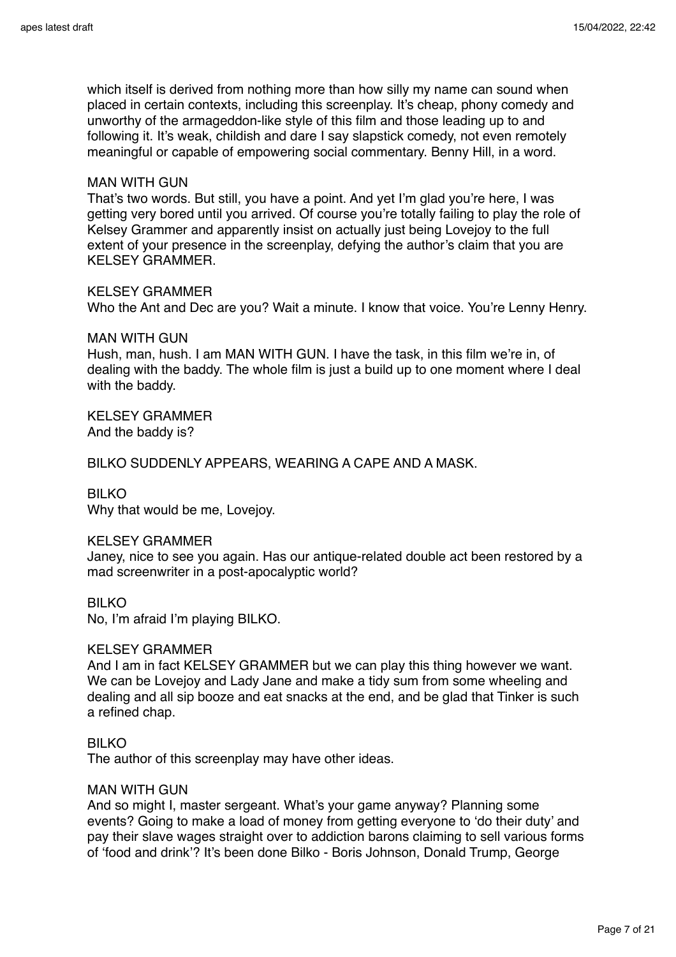which itself is derived from nothing more than how silly my name can sound when placed in certain contexts, including this screenplay. It's cheap, phony comedy and unworthy of the armageddon-like style of this film and those leading up to and following it. It's weak, childish and dare I say slapstick comedy, not even remotely meaningful or capable of empowering social commentary. Benny Hill, in a word.

### MAN WITH GUN

That's two words. But still, you have a point. And yet I'm glad you're here, I was getting very bored until you arrived. Of course you're totally failing to play the role of Kelsey Grammer and apparently insist on actually just being Lovejoy to the full extent of your presence in the screenplay, defying the author's claim that you are KELSEY GRAMMER.

KELSEY GRAMMER Who the Ant and Dec are you? Wait a minute. I know that voice. You're Lenny Henry.

MAN WITH GUN Hush, man, hush. I am MAN WITH GUN. I have the task, in this film we're in, of dealing with the baddy. The whole film is just a build up to one moment where I deal with the baddy.

KELSEY GRAMMER And the baddy is?

BILKO SUDDENLY APPEARS, WEARING A CAPE AND A MASK.

## BILKO

Why that would be me, Lovejoy.

#### KELSEY GRAMMER

Janey, nice to see you again. Has our antique-related double act been restored by a mad screenwriter in a post-apocalyptic world?

#### BILKO

No, I'm afraid I'm playing BILKO.

#### KELSEY GRAMMER

And I am in fact KELSEY GRAMMER but we can play this thing however we want. We can be Lovejoy and Lady Jane and make a tidy sum from some wheeling and dealing and all sip booze and eat snacks at the end, and be glad that Tinker is such a refined chap.

### BILKO

The author of this screenplay may have other ideas.

### MAN WITH GUN

And so might I, master sergeant. What's your game anyway? Planning some events? Going to make a load of money from getting everyone to 'do their duty' and pay their slave wages straight over to addiction barons claiming to sell various forms of 'food and drink'? It's been done Bilko - Boris Johnson, Donald Trump, George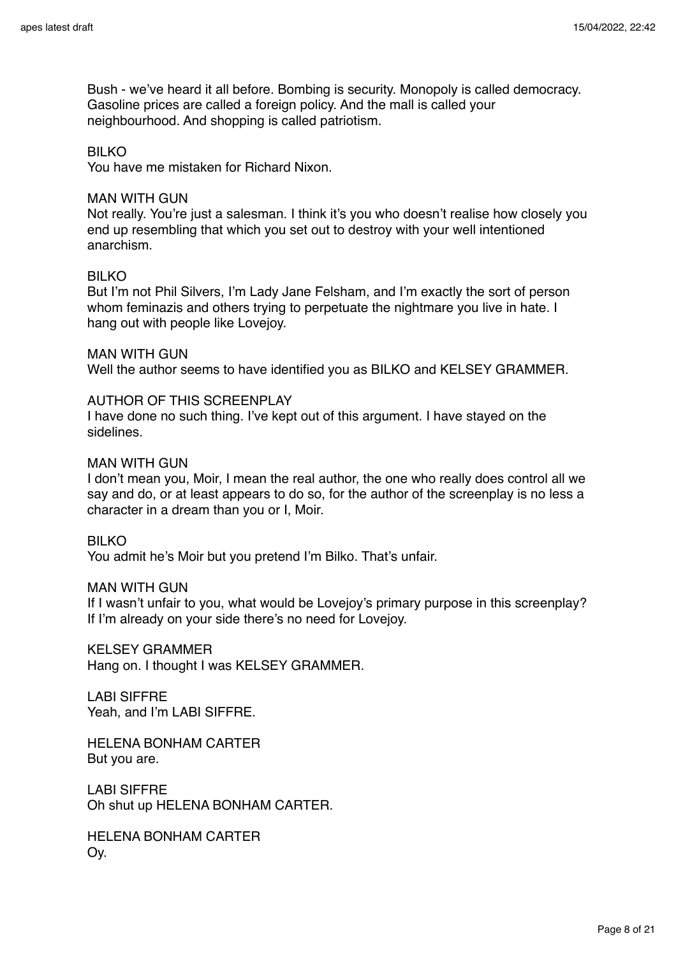Bush - we've heard it all before. Bombing is security. Monopoly is called democracy. Gasoline prices are called a foreign policy. And the mall is called your neighbourhood. And shopping is called patriotism.

#### BILKO

You have me mistaken for Richard Nixon.

#### MAN WITH GUN

Not really. You're just a salesman. I think it's you who doesn't realise how closely you end up resembling that which you set out to destroy with your well intentioned anarchism.

### BILKO

But I'm not Phil Silvers, I'm Lady Jane Felsham, and I'm exactly the sort of person whom feminazis and others trying to perpetuate the nightmare you live in hate. I hang out with people like Lovejoy.

MAN WITH GUN Well the author seems to have identified you as BILKO and KELSEY GRAMMER.

#### AUTHOR OF THIS SCREENPLAY

I have done no such thing. I've kept out of this argument. I have stayed on the sidelines.

#### MAN WITH GUN

I don't mean you, Moir, I mean the real author, the one who really does control all we say and do, or at least appears to do so, for the author of the screenplay is no less a character in a dream than you or I, Moir.

## BILKO

You admit he's Moir but you pretend I'm Bilko. That's unfair.

#### MAN WITH GUN

If I wasn't unfair to you, what would be Lovejoy's primary purpose in this screenplay? If I'm already on your side there's no need for Lovejoy.

KELSEY GRAMMER Hang on. I thought I was KELSEY GRAMMER.

LABI SIFFRE Yeah, and I'm LABI SIFFRE.

HELENA BONHAM CARTER But you are.

LABI SIFFRE Oh shut up HELENA BONHAM CARTER.

HELENA BONHAM CARTER Oy.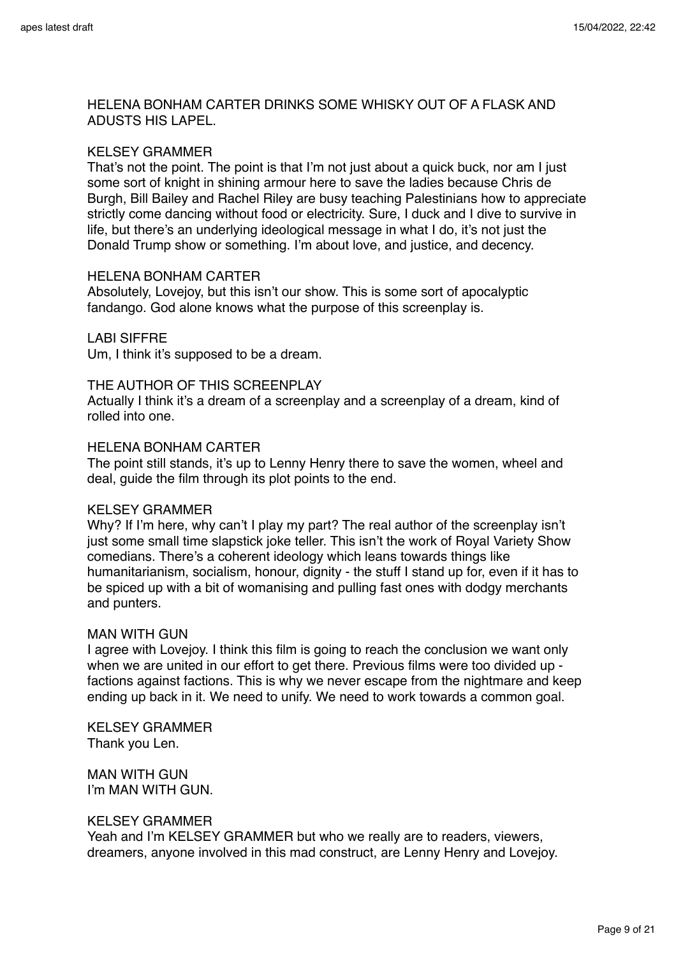# HELENA BONHAM CARTER DRINKS SOME WHISKY OUT OF A FLASK AND ADUSTS HIS LAPEL.

## KELSEY GRAMMER

That's not the point. The point is that I'm not just about a quick buck, nor am I just some sort of knight in shining armour here to save the ladies because Chris de Burgh, Bill Bailey and Rachel Riley are busy teaching Palestinians how to appreciate strictly come dancing without food or electricity. Sure, I duck and I dive to survive in life, but there's an underlying ideological message in what I do, it's not just the Donald Trump show or something. I'm about love, and justice, and decency.

#### HELENA BONHAM CARTER

Absolutely, Lovejoy, but this isn't our show. This is some sort of apocalyptic fandango. God alone knows what the purpose of this screenplay is.

# LABI SIFFRE

Um, I think it's supposed to be a dream.

### THE AUTHOR OF THIS SCREENPLAY

Actually I think it's a dream of a screenplay and a screenplay of a dream, kind of rolled into one.

### HELENA BONHAM CARTER

The point still stands, it's up to Lenny Henry there to save the women, wheel and deal, guide the film through its plot points to the end.

#### KELSEY GRAMMER

Why? If I'm here, why can't I play my part? The real author of the screenplay isn't just some small time slapstick joke teller. This isn't the work of Royal Variety Show comedians. There's a coherent ideology which leans towards things like humanitarianism, socialism, honour, dignity - the stuff I stand up for, even if it has to be spiced up with a bit of womanising and pulling fast ones with dodgy merchants and punters.

#### MAN WITH GUN

I agree with Lovejoy. I think this film is going to reach the conclusion we want only when we are united in our effort to get there. Previous films were too divided up factions against factions. This is why we never escape from the nightmare and keep ending up back in it. We need to unify. We need to work towards a common goal.

KELSEY GRAMMER Thank you Len.

MAN WITH GUN I'm MAN WITH GUN.

## KELSEY GRAMMER

Yeah and I'm KELSEY GRAMMER but who we really are to readers, viewers, dreamers, anyone involved in this mad construct, are Lenny Henry and Lovejoy.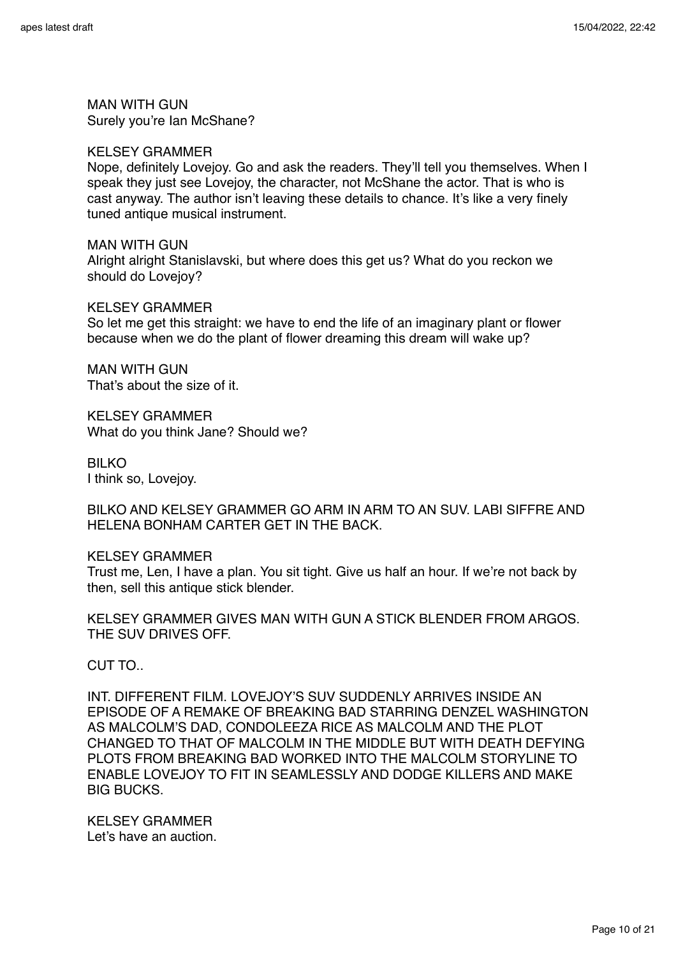MAN WITH GUN Surely you're Ian McShane?

#### KELSEY GRAMMER

Nope, definitely Lovejoy. Go and ask the readers. They'll tell you themselves. When I speak they just see Lovejoy, the character, not McShane the actor. That is who is cast anyway. The author isn't leaving these details to chance. It's like a very finely tuned antique musical instrument.

MAN WITH GUN Alright alright Stanislavski, but where does this get us? What do you reckon we should do Lovejoy?

KELSEY GRAMMER So let me get this straight: we have to end the life of an imaginary plant or flower because when we do the plant of flower dreaming this dream will wake up?

MAN WITH GUN That's about the size of it.

KELSEY GRAMMER What do you think Jane? Should we?

BILKO I think so, Lovejoy.

BILKO AND KELSEY GRAMMER GO ARM IN ARM TO AN SUV. LABI SIFFRE AND HELENA BONHAM CARTER GET IN THE BACK.

KELSEY GRAMMER

Trust me, Len, I have a plan. You sit tight. Give us half an hour. If we're not back by then, sell this antique stick blender.

KELSEY GRAMMER GIVES MAN WITH GUN A STICK BLENDER FROM ARGOS. THE SUV DRIVES OFF.

CUT TO..

INT. DIFFERENT FILM. LOVEJOY'S SUV SUDDENLY ARRIVES INSIDE AN EPISODE OF A REMAKE OF BREAKING BAD STARRING DENZEL WASHINGTON AS MALCOLM'S DAD, CONDOLEEZA RICE AS MALCOLM AND THE PLOT CHANGED TO THAT OF MALCOLM IN THE MIDDLE BUT WITH DEATH DEFYING PLOTS FROM BREAKING BAD WORKED INTO THE MALCOLM STORYLINE TO ENABLE LOVEJOY TO FIT IN SEAMLESSLY AND DODGE KILLERS AND MAKE BIG BUCKS.

KELSEY GRAMMER Let's have an auction.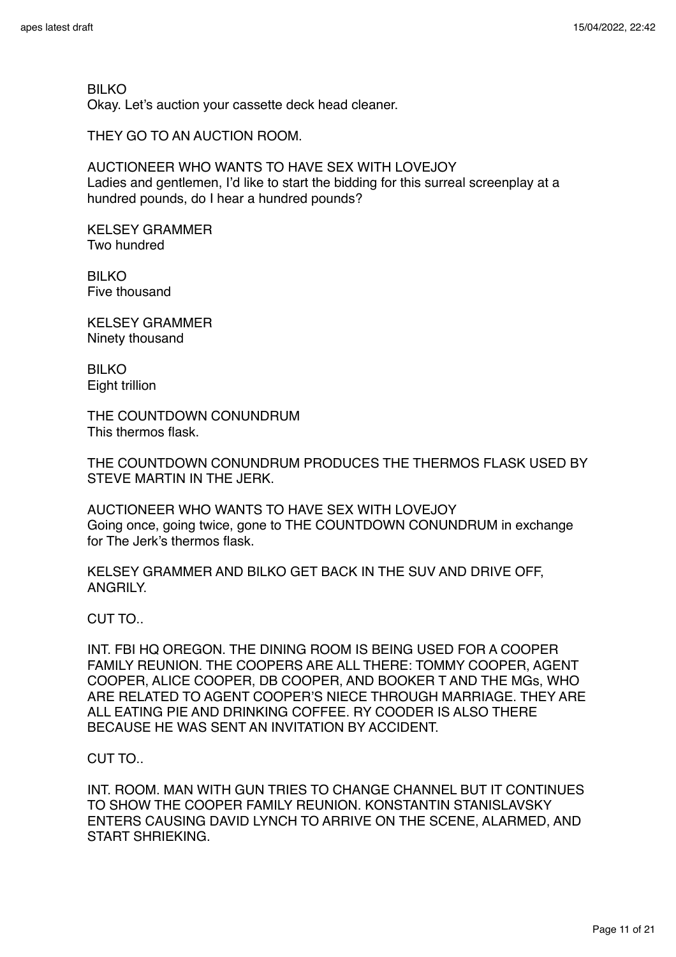BILKO Okay. Let's auction your cassette deck head cleaner.

THEY GO TO AN AUCTION ROOM.

AUCTIONEER WHO WANTS TO HAVE SEX WITH LOVEJOY Ladies and gentlemen, I'd like to start the bidding for this surreal screenplay at a hundred pounds, do I hear a hundred pounds?

KELSEY GRAMMER Two hundred

BILKO Five thousand

KELSEY GRAMMER Ninety thousand

BILKO Eight trillion

THE COUNTDOWN CONUNDRUM This thermos flask.

THE COUNTDOWN CONUNDRUM PRODUCES THE THERMOS FLASK USED BY STEVE MARTIN IN THE JERK.

AUCTIONEER WHO WANTS TO HAVE SEX WITH LOVEJOY Going once, going twice, gone to THE COUNTDOWN CONUNDRUM in exchange for The Jerk's thermos flask.

KELSEY GRAMMER AND BILKO GET BACK IN THE SUV AND DRIVE OFF, ANGRILY.

CUT TO..

INT. FBI HQ OREGON. THE DINING ROOM IS BEING USED FOR A COOPER FAMILY REUNION. THE COOPERS ARE ALL THERE: TOMMY COOPER, AGENT COOPER, ALICE COOPER, DB COOPER, AND BOOKER T AND THE MGs, WHO ARE RELATED TO AGENT COOPER'S NIECE THROUGH MARRIAGE. THEY ARE ALL EATING PIE AND DRINKING COFFEE. RY COODER IS ALSO THERE BECAUSE HE WAS SENT AN INVITATION BY ACCIDENT.

CUT TO..

INT. ROOM. MAN WITH GUN TRIES TO CHANGE CHANNEL BUT IT CONTINUES TO SHOW THE COOPER FAMILY REUNION. KONSTANTIN STANISLAVSKY ENTERS CAUSING DAVID LYNCH TO ARRIVE ON THE SCENE, ALARMED, AND START SHRIEKING.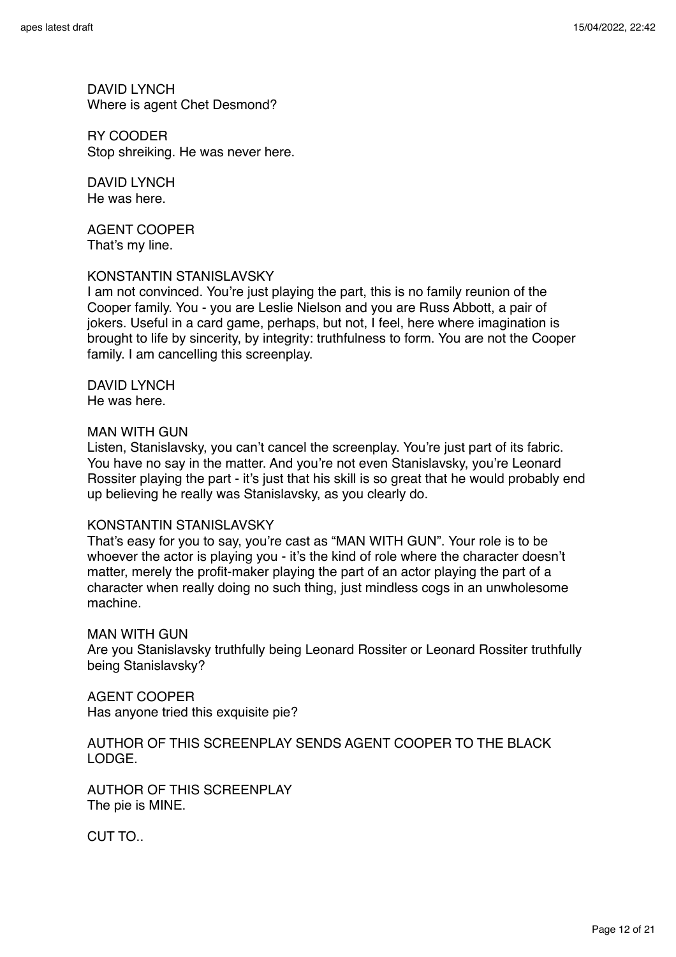DAVID LYNCH Where is agent Chet Desmond?

RY COODER Stop shreiking. He was never here.

DAVID LYNCH He was here.

AGENT COOPER That's my line.

### KONSTANTIN STANISLAVSKY

I am not convinced. You're just playing the part, this is no family reunion of the Cooper family. You - you are Leslie Nielson and you are Russ Abbott, a pair of jokers. Useful in a card game, perhaps, but not, I feel, here where imagination is brought to life by sincerity, by integrity: truthfulness to form. You are not the Cooper family. I am cancelling this screenplay.

DAVID LYNCH He was here.

### MAN WITH GUN

Listen, Stanislavsky, you can't cancel the screenplay. You're just part of its fabric. You have no say in the matter. And you're not even Stanislavsky, you're Leonard Rossiter playing the part - it's just that his skill is so great that he would probably end up believing he really was Stanislavsky, as you clearly do.

#### KONSTANTIN STANISLAVSKY

That's easy for you to say, you're cast as "MAN WITH GUN". Your role is to be whoever the actor is playing you - it's the kind of role where the character doesn't matter, merely the profit-maker playing the part of an actor playing the part of a character when really doing no such thing, just mindless cogs in an unwholesome machine.

#### MAN WITH GUN

Are you Stanislavsky truthfully being Leonard Rossiter or Leonard Rossiter truthfully being Stanislavsky?

AGENT COOPER Has anyone tried this exquisite pie?

# AUTHOR OF THIS SCREENPLAY SENDS AGENT COOPER TO THE BLACK LODGE.

AUTHOR OF THIS SCREENPLAY The pie is MINE.

CUT TO..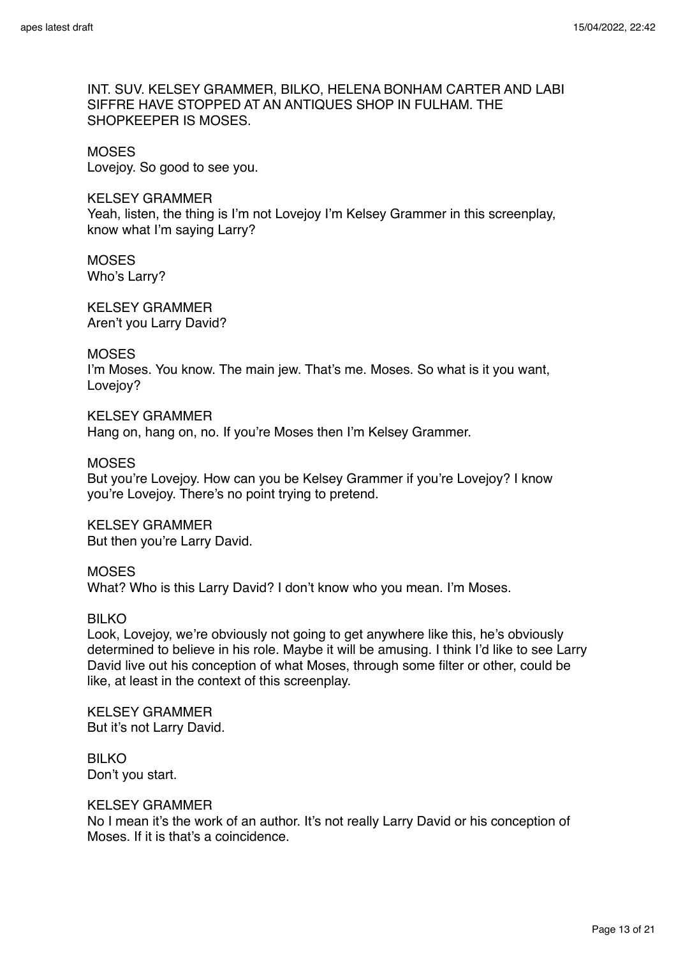INT. SUV. KELSEY GRAMMER, BILKO, HELENA BONHAM CARTER AND LABI SIFFRE HAVE STOPPED AT AN ANTIQUES SHOP IN FULHAM. THE SHOPKEEPER IS MOSES.

#### **MOSES**

Lovejoy. So good to see you.

## KELSEY GRAMMER

Yeah, listen, the thing is I'm not Lovejoy I'm Kelsey Grammer in this screenplay, know what I'm saying Larry?

### **MOSES** Who's Larry?

KELSEY GRAMMER Aren't you Larry David?

# **MOSES**

I'm Moses. You know. The main jew. That's me. Moses. So what is it you want, Lovejov?

### KELSEY GRAMMER

Hang on, hang on, no. If you're Moses then I'm Kelsey Grammer.

#### **MOSES**

But you're Lovejoy. How can you be Kelsey Grammer if you're Lovejoy? I know you're Lovejoy. There's no point trying to pretend.

KELSEY GRAMMER But then you're Larry David.

# MOSES

What? Who is this Larry David? I don't know who you mean. I'm Moses.

# BILKO

Look, Lovejoy, we're obviously not going to get anywhere like this, he's obviously determined to believe in his role. Maybe it will be amusing. I think I'd like to see Larry David live out his conception of what Moses, through some filter or other, could be like, at least in the context of this screenplay.

KELSEY GRAMMER But it's not Larry David.

### BILKO Don't you start.

### KELSEY GRAMMER

No I mean it's the work of an author. It's not really Larry David or his conception of Moses. If it is that's a coincidence.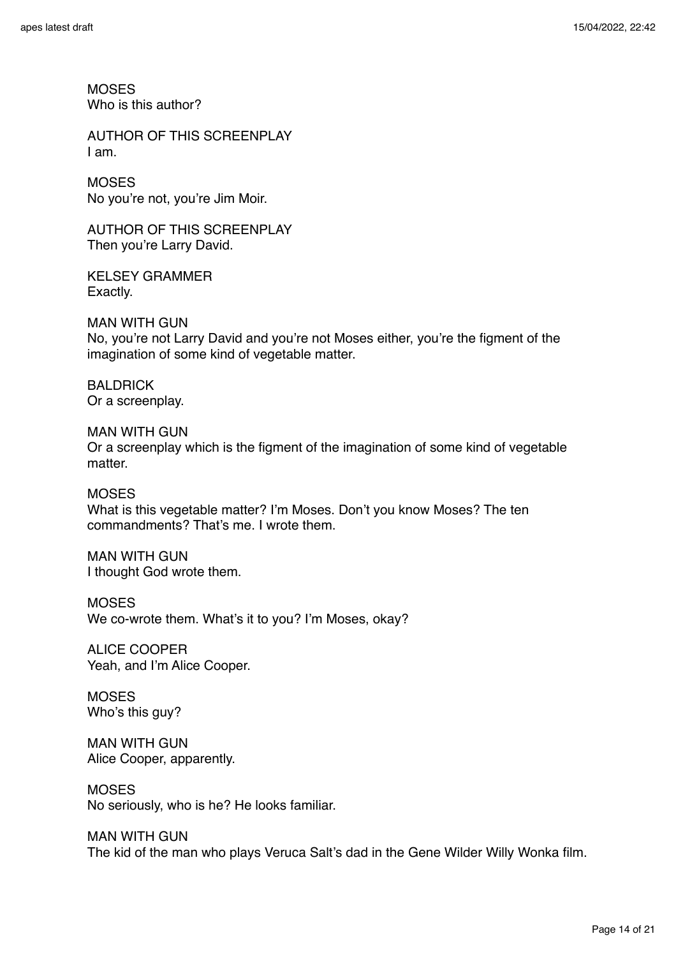**MOSES** Who is this author?

AUTHOR OF THIS SCREENPLAY I am.

**MOSES** No you're not, you're Jim Moir.

AUTHOR OF THIS SCREENPLAY Then you're Larry David.

KELSEY GRAMMER Exactly.

MAN WITH GUN No, you're not Larry David and you're not Moses either, you're the figment of the imagination of some kind of vegetable matter.

BALDRICK Or a screenplay.

MAN WITH GUN Or a screenplay which is the figment of the imagination of some kind of vegetable matter.

**MOSES** What is this vegetable matter? I'm Moses. Don't you know Moses? The ten commandments? That's me. I wrote them.

MAN WITH GUN I thought God wrote them.

**MOSES** We co-wrote them. What's it to you? I'm Moses, okay?

ALICE COOPER Yeah, and I'm Alice Cooper.

**MOSES** Who's this guy?

MAN WITH GUN Alice Cooper, apparently.

**MOSES** No seriously, who is he? He looks familiar.

MAN WITH GUN The kid of the man who plays Veruca Salt's dad in the Gene Wilder Willy Wonka film.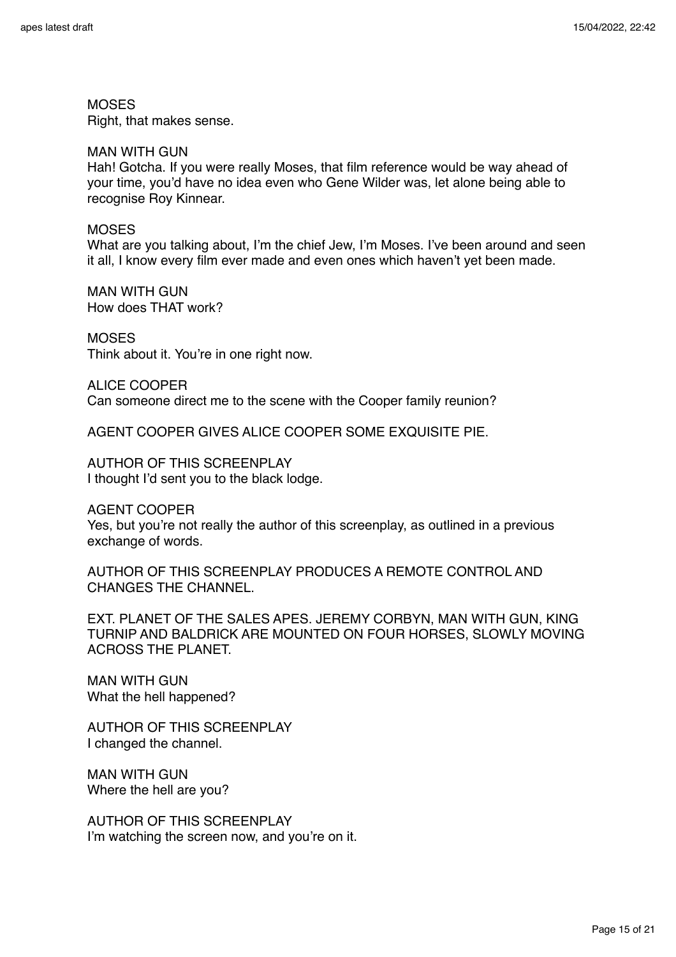**MOSES** 

Right, that makes sense.

### MAN WITH GUN

Hah! Gotcha. If you were really Moses, that film reference would be way ahead of your time, you'd have no idea even who Gene Wilder was, let alone being able to recognise Roy Kinnear.

### MOSES

What are you talking about, I'm the chief Jew, I'm Moses. I've been around and seen it all, I know every film ever made and even ones which haven't yet been made.

MAN WITH GUN How does THAT work?

**MOSES** Think about it. You're in one right now.

ALICE COOPER Can someone direct me to the scene with the Cooper family reunion?

AGENT COOPER GIVES ALICE COOPER SOME EXQUISITE PIE.

AUTHOR OF THIS SCREENPLAY I thought I'd sent you to the black lodge.

AGENT COOPER

Yes, but you're not really the author of this screenplay, as outlined in a previous exchange of words.

AUTHOR OF THIS SCREENPLAY PRODUCES A REMOTE CONTROL AND CHANGES THE CHANNEL.

EXT. PLANET OF THE SALES APES. JEREMY CORBYN, MAN WITH GUN, KING TURNIP AND BALDRICK ARE MOUNTED ON FOUR HORSES, SLOWLY MOVING ACROSS THE PLANET.

MAN WITH GUN What the hell happened?

AUTHOR OF THIS SCREENPLAY I changed the channel.

MAN WITH GUN Where the hell are you?

AUTHOR OF THIS SCREENPLAY I'm watching the screen now, and you're on it.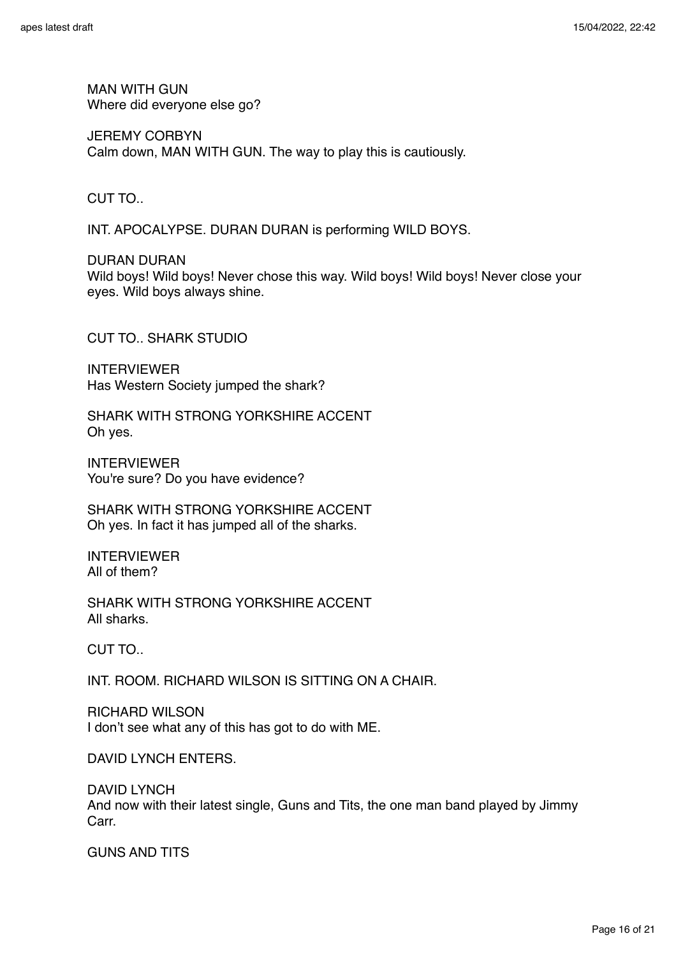MAN WITH GUN Where did everyone else go?

JEREMY CORBYN Calm down, MAN WITH GUN. The way to play this is cautiously.

# CUT TO..

INT. APOCALYPSE. DURAN DURAN is performing WILD BOYS.

DURAN DURAN Wild boys! Wild boys! Never chose this way. Wild boys! Wild boys! Never close your eyes. Wild boys always shine.

CUT TO.. SHARK STUDIO

INTERVIEWER Has Western Society jumped the shark?

SHARK WITH STRONG YORKSHIRE ACCENT Oh yes.

INTERVIEWER You're sure? Do you have evidence?

SHARK WITH STRONG YORKSHIRE ACCENT Oh yes. In fact it has jumped all of the sharks.

INTERVIEWER All of them?

SHARK WITH STRONG YORKSHIRE ACCENT All sharks.

CUT TO..

INT. ROOM. RICHARD WILSON IS SITTING ON A CHAIR.

RICHARD WILSON I don't see what any of this has got to do with ME.

DAVID LYNCH ENTERS.

DAVID LYNCH And now with their latest single, Guns and Tits, the one man band played by Jimmy Carr.

GUNS AND TITS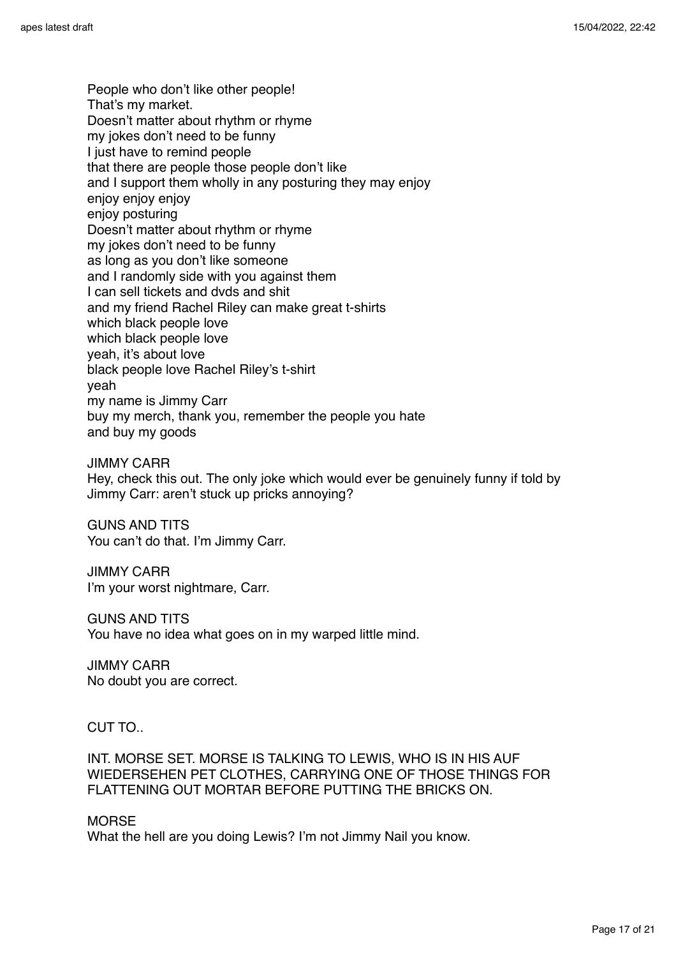People who don't like other people! That's my market. Doesn't matter about rhythm or rhyme my jokes don't need to be funny I just have to remind people that there are people those people don't like and I support them wholly in any posturing they may enjoy enjoy enjoy enjoy enjoy posturing Doesn't matter about rhythm or rhyme my jokes don't need to be funny as long as you don't like someone and I randomly side with you against them I can sell tickets and dvds and shit and my friend Rachel Riley can make great t-shirts which black people love which black people love yeah, it's about love black people love Rachel Riley's t-shirt yeah my name is Jimmy Carr buy my merch, thank you, remember the people you hate and buy my goods

JIMMY CARR Hey, check this out. The only joke which would ever be genuinely funny if told by Jimmy Carr: aren't stuck up pricks annoying?

GUNS AND TITS You can't do that. I'm Jimmy Carr.

JIMMY CARR I'm your worst nightmare, Carr.

GUNS AND TITS You have no idea what goes on in my warped little mind.

JIMMY CARR No doubt you are correct.

CUT TO..

INT. MORSE SET. MORSE IS TALKING TO LEWIS, WHO IS IN HIS AUF WIEDERSEHEN PET CLOTHES, CARRYING ONE OF THOSE THINGS FOR FLATTENING OUT MORTAR BEFORE PUTTING THE BRICKS ON.

**MORSE** 

What the hell are you doing Lewis? I'm not Jimmy Nail you know.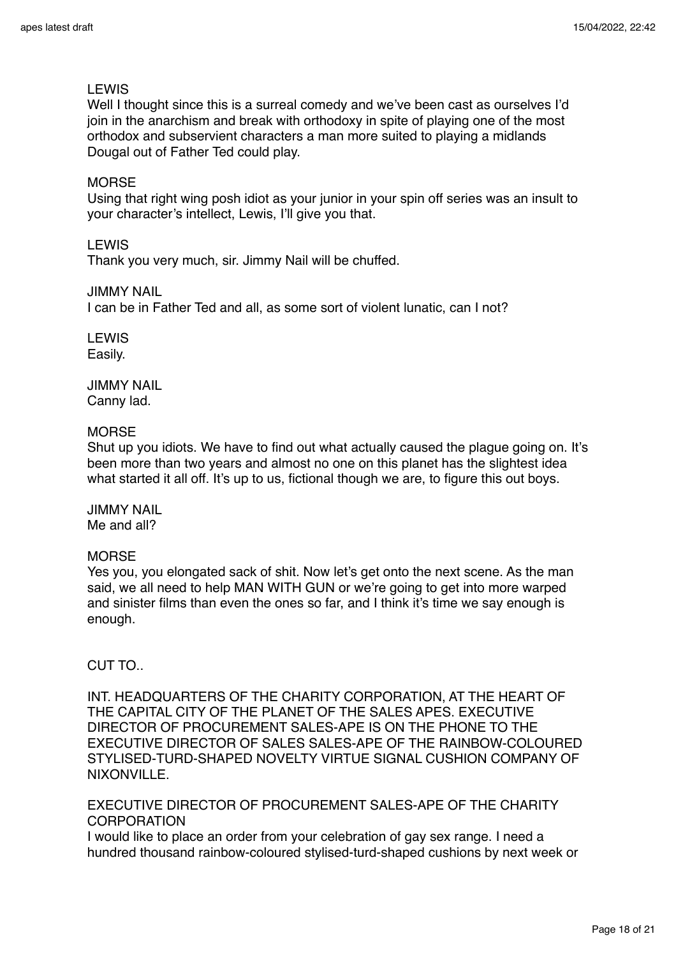# LEWIS

Well I thought since this is a surreal comedy and we've been cast as ourselves I'd join in the anarchism and break with orthodoxy in spite of playing one of the most orthodox and subservient characters a man more suited to playing a midlands Dougal out of Father Ted could play.

### **MORSE**

Using that right wing posh idiot as your junior in your spin off series was an insult to your character's intellect, Lewis, I'll give you that.

### LEWIS

Thank you very much, sir. Jimmy Nail will be chuffed.

### JIMMY NAIL

I can be in Father Ted and all, as some sort of violent lunatic, can I not?

LEWIS Easily.

JIMMY NAIL Canny lad.

### **MORSE**

Shut up you idiots. We have to find out what actually caused the plague going on. It's been more than two years and almost no one on this planet has the slightest idea what started it all off. It's up to us, fictional though we are, to figure this out boys.

JIMMY NAIL Me and all?

### **MORSE**

Yes you, you elongated sack of shit. Now let's get onto the next scene. As the man said, we all need to help MAN WITH GUN or we're going to get into more warped and sinister films than even the ones so far, and I think it's time we say enough is enough.

# CUT TO..

INT. HEADQUARTERS OF THE CHARITY CORPORATION, AT THE HEART OF THE CAPITAL CITY OF THE PLANET OF THE SALES APES. EXECUTIVE DIRECTOR OF PROCUREMENT SALES-APE IS ON THE PHONE TO THE EXECUTIVE DIRECTOR OF SALES SALES-APE OF THE RAINBOW-COLOURED STYLISED-TURD-SHAPED NOVELTY VIRTUE SIGNAL CUSHION COMPANY OF NIXONVILLE.

EXECUTIVE DIRECTOR OF PROCUREMENT SALES-APE OF THE CHARITY CORPORATION

I would like to place an order from your celebration of gay sex range. I need a hundred thousand rainbow-coloured stylised-turd-shaped cushions by next week or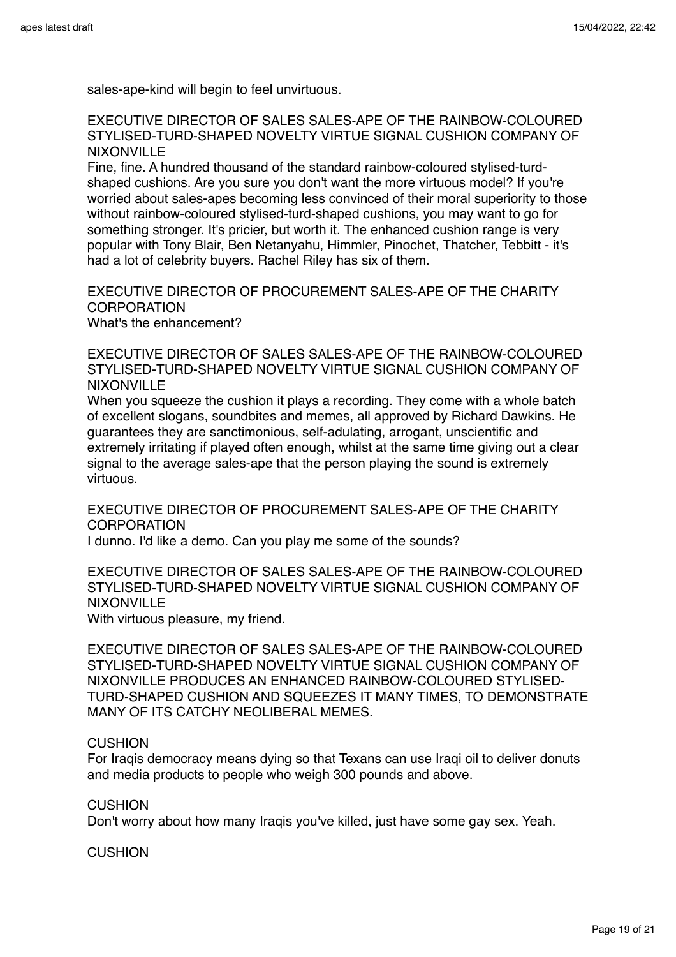sales-ape-kind will begin to feel unvirtuous.

EXECUTIVE DIRECTOR OF SALES SALES-APE OF THE RAINBOW-COLOURED STYLISED-TURD-SHAPED NOVELTY VIRTUE SIGNAL CUSHION COMPANY OF **NIXONVILLE** 

Fine, fine. A hundred thousand of the standard rainbow-coloured stylised-turdshaped cushions. Are you sure you don't want the more virtuous model? If you're worried about sales-apes becoming less convinced of their moral superiority to those without rainbow-coloured stylised-turd-shaped cushions, you may want to go for something stronger. It's pricier, but worth it. The enhanced cushion range is very popular with Tony Blair, Ben Netanyahu, Himmler, Pinochet, Thatcher, Tebbitt - it's had a lot of celebrity buyers. Rachel Riley has six of them.

EXECUTIVE DIRECTOR OF PROCUREMENT SALES-APE OF THE CHARITY **CORPORATION** What's the enhancement?

EXECUTIVE DIRECTOR OF SALES SALES-APE OF THE RAINBOW-COLOURED STYLISED-TURD-SHAPED NOVELTY VIRTUE SIGNAL CUSHION COMPANY OF NIXONVILLE

When you squeeze the cushion it plays a recording. They come with a whole batch of excellent slogans, soundbites and memes, all approved by Richard Dawkins. He guarantees they are sanctimonious, self-adulating, arrogant, unscientific and extremely irritating if played often enough, whilst at the same time giving out a clear signal to the average sales-ape that the person playing the sound is extremely virtuous.

EXECUTIVE DIRECTOR OF PROCUREMENT SALES-APE OF THE CHARITY **CORPORATION** 

I dunno. I'd like a demo. Can you play me some of the sounds?

EXECUTIVE DIRECTOR OF SALES SALES-APE OF THE RAINBOW-COLOURED STYLISED-TURD-SHAPED NOVELTY VIRTUE SIGNAL CUSHION COMPANY OF NIXONVILLE

With virtuous pleasure, my friend.

EXECUTIVE DIRECTOR OF SALES SALES-APE OF THE RAINBOW-COLOURED STYLISED-TURD-SHAPED NOVELTY VIRTUE SIGNAL CUSHION COMPANY OF NIXONVILLE PRODUCES AN ENHANCED RAINBOW-COLOURED STYLISED-TURD-SHAPED CUSHION AND SQUEEZES IT MANY TIMES, TO DEMONSTRATE MANY OF ITS CATCHY NEOLIBERAL MEMES.

#### CUSHION

For Iraqis democracy means dying so that Texans can use Iraqi oil to deliver donuts and media products to people who weigh 300 pounds and above.

CUSHION

Don't worry about how many Iraqis you've killed, just have some gay sex. Yeah.

CUSHION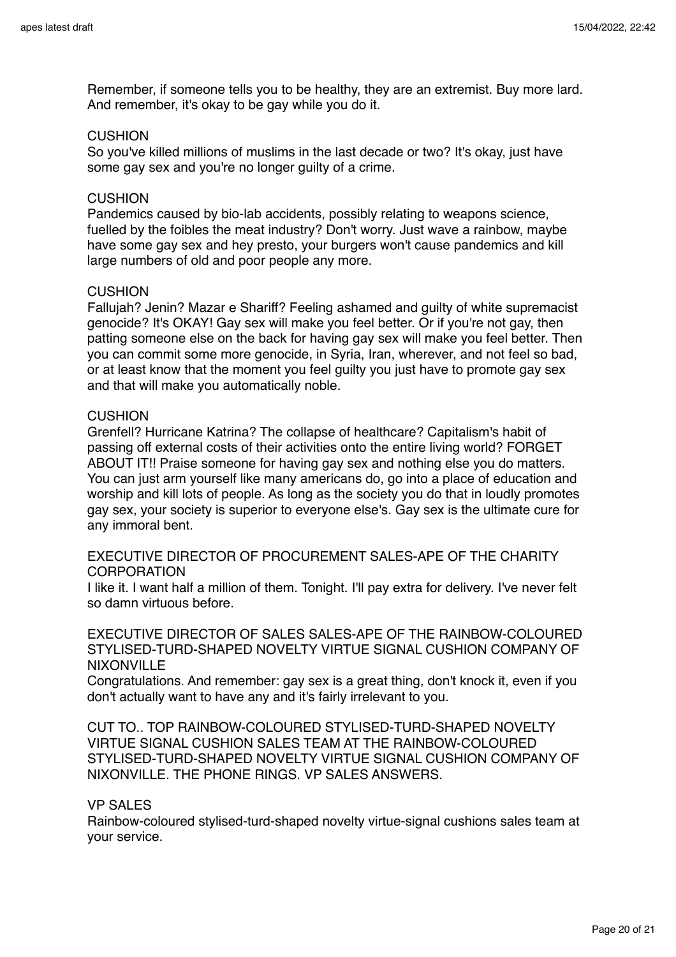Remember, if someone tells you to be healthy, they are an extremist. Buy more lard. And remember, it's okay to be gay while you do it.

### **CUSHION**

So you've killed millions of muslims in the last decade or two? It's okay, just have some gay sex and you're no longer guilty of a crime.

### **CUSHION**

Pandemics caused by bio-lab accidents, possibly relating to weapons science, fuelled by the foibles the meat industry? Don't worry. Just wave a rainbow, maybe have some gay sex and hey presto, your burgers won't cause pandemics and kill large numbers of old and poor people any more.

### **CUSHION**

Fallujah? Jenin? Mazar e Shariff? Feeling ashamed and guilty of white supremacist genocide? It's OKAY! Gay sex will make you feel better. Or if you're not gay, then patting someone else on the back for having gay sex will make you feel better. Then you can commit some more genocide, in Syria, Iran, wherever, and not feel so bad, or at least know that the moment you feel guilty you just have to promote gay sex and that will make you automatically noble.

### CUSHION

Grenfell? Hurricane Katrina? The collapse of healthcare? Capitalism's habit of passing off external costs of their activities onto the entire living world? FORGET ABOUT IT!! Praise someone for having gay sex and nothing else you do matters. You can just arm yourself like many americans do, go into a place of education and worship and kill lots of people. As long as the society you do that in loudly promotes gay sex, your society is superior to everyone else's. Gay sex is the ultimate cure for any immoral bent.

EXECUTIVE DIRECTOR OF PROCUREMENT SALES-APE OF THE CHARITY CORPORATION

I like it. I want half a million of them. Tonight. I'll pay extra for delivery. I've never felt so damn virtuous before.

EXECUTIVE DIRECTOR OF SALES SALES-APE OF THE RAINBOW-COLOURED STYLISED-TURD-SHAPED NOVELTY VIRTUE SIGNAL CUSHION COMPANY OF NIXONVILLE

Congratulations. And remember: gay sex is a great thing, don't knock it, even if you don't actually want to have any and it's fairly irrelevant to you.

CUT TO.. TOP RAINBOW-COLOURED STYLISED-TURD-SHAPED NOVELTY VIRTUE SIGNAL CUSHION SALES TEAM AT THE RAINBOW-COLOURED STYLISED-TURD-SHAPED NOVELTY VIRTUE SIGNAL CUSHION COMPANY OF NIXONVILLE. THE PHONE RINGS. VP SALES ANSWERS.

### VP SALES

Rainbow-coloured stylised-turd-shaped novelty virtue-signal cushions sales team at your service.